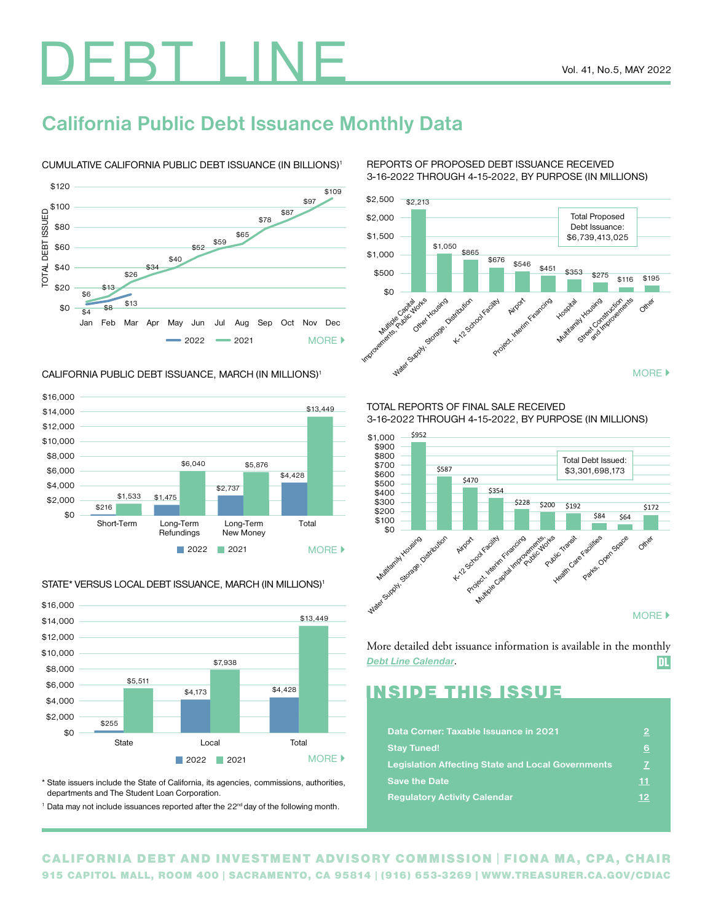# DEBT LINE

## **California Public Debt Issuance Monthly Data**

## CUMULATIVE CALIFORNIA PUBLIC DEBT ISSUANCE (IN BILLIONS)1



#### CALIFORNIA PUBLIC DEBT ISSUANCE, MARCH (IN MILLIONS)1



#### 2022 2021 State **Local** Contact Local Total \$0 \$16,000 \$14,000 \$12,000 \$10,000 \$6,000 \$4,000 \$2,000 \$8,000 \$255 \$4,173 \$5,511 \$13,449 \$4,428 \$7,938 [MORE](http://www.treasurer.ca.gov/cdiac/graphs/index.asp)  $\blacktriangleright$

STATE\* VERSUS LOCAL DEBT ISSUANCE, MARCH (IN MILLIONS)<sup>1</sup>

\* State issuers include the State of California, its agencies, commissions, authorities, departments and The Student Loan Corporation.

<sup>1</sup> Data may not include issuances reported after the 22<sup>nd</sup> day of the following month.

REPORTS OF PROPOSED DEBT ISSUANCE RECEIVED 3-16-2022 THROUGH 4-15-2022, BY PURPOSE (IN MILLIONS)



TOTAL REPORTS OF FINAL SALE RECEIVED 3-16-2022 THROUGH 4-15-2022, BY PURPOSE (IN MILLIONS)



More detailed debt issuance information is available in the monthly *[Debt Line Calendar](https://www.treasurer.ca.gov/cdiac/debtpubs/2022/calendar/202205.pdf)*. DL

## INSIDE THIS ISSUE

| Data Corner: Taxable Issuance in 2021                    | 2   |
|----------------------------------------------------------|-----|
| <b>Stay Tuned!</b>                                       | 6   |
| <b>Legislation Affecting State and Local Governments</b> | 7   |
| <b>Save the Date</b>                                     | 11  |
| <b>Regulatory Activity Calendar</b>                      | -12 |

CALIFORNIA DEBT AND INVESTMENT ADVISORY COMMISSION | FIONA MA, CPA, CHAIR 915 CAPITOL MALL, ROOM 400 | SACRAMENTO, CA 95814 | (916) 653-3269 | [WWW.TREASURER.CA.GOV/CDIAC](http://www.treasurer.ca.gov/cdiac)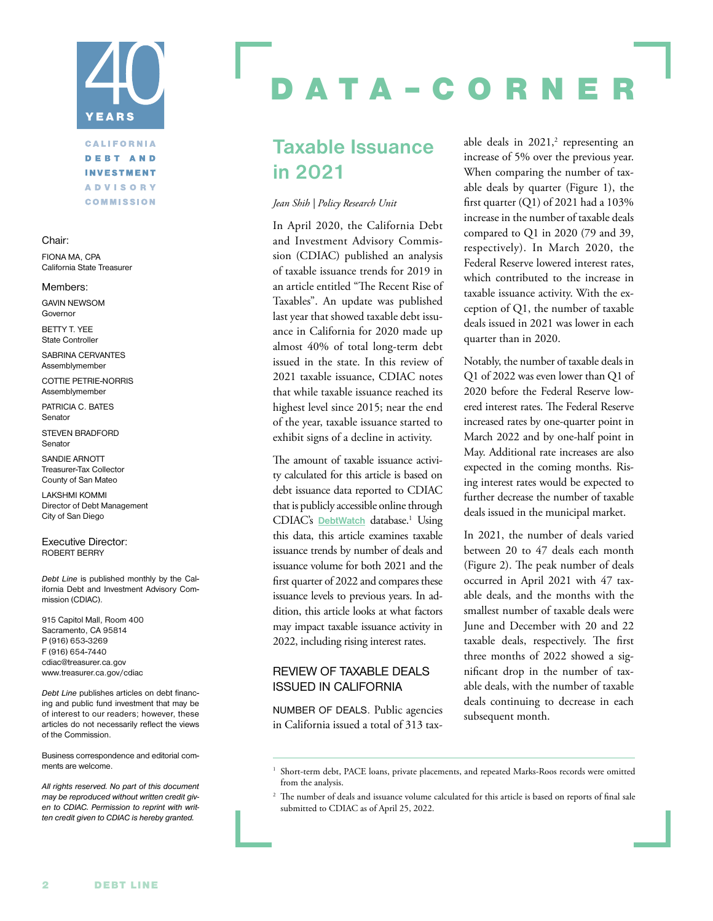# <span id="page-1-0"></span>YEARS

## **CALIFORNIA DEBT AND INVESTMENT ADVISORY COMMISSION**

#### Chair:

FIONA MA, CPA California State Treasurer

Members:

GAVIN NEWSOM Governor

BETTY T. YEE State Controller

SABRINA CERVANTES Assemblymember

COTTIE PETRIE-NORRIS Assemblymember

PATRICIA C. BATES Senator

STEVEN BRADFORD Senator

SANDIE ARNOTT Treasurer-Tax Collector County of San Mateo

LAKSHMI KOMMI Director of Debt Management City of San Diego

Executive Director: ROBERT BERRY

*Debt Line* is published monthly by the California Debt and Investment Advisory Commission (CDIAC).

915 Capitol Mall, Room 400 Sacramento, CA 95814 P (916) 653-3269 F (916) 654-7440 [cdiac@treasurer.ca.gov](mailto:cdiac@treasurer.ca.gov) [www.treasurer.ca.gov/cdiac](http://www.treasurer.ca.gov/cdiac)

*Debt Line* publishes articles on debt financing and public fund investment that may be of interest to our readers; however, these articles do not necessarily reflect the views of the Commission.

Business correspondence and editorial comments are welcome.

*All rights reserved. No part of this document may be reproduced without written credit given to CDIAC. Permission to reprint with written credit given to CDIAC is hereby granted.*

## ATA-CORN

## **Taxable Issuance in 2021**

#### *Jean Shih | Policy Research Unit*

In April 2020, the California Debt and Investment Advisory Commission (CDIAC) published an analysis of taxable issuance trends for 2019 in an article entitled "The Recent Rise of Taxables". An update was published last year that showed taxable debt issuance in California for 2020 made up almost 40% of total long-term debt issued in the state. In this review of 2021 taxable issuance, CDIAC notes that while taxable issuance reached its highest level since 2015; near the end of the year, taxable issuance started to exhibit signs of a decline in activity.

The amount of taxable issuance activity calculated for this article is based on debt issuance data reported to CDIAC that is publicly accessible online through CDIAC's **[DebtWatch](https://debtwatch.treasurer.ca.gov/)** database.<sup>1</sup> Using this data, this article examines taxable issuance trends by number of deals and issuance volume for both 2021 and the first quarter of 2022 and compares these issuance levels to previous years. In addition, this article looks at what factors may impact taxable issuance activity in 2022, including rising interest rates.

## REVIEW OF TAXABLE DEALS ISSUED IN CALIFORNIA

NUMBER OF DEALS. Public agencies in California issued a total of 313 tax-

able deals in  $2021$ ,<sup>2</sup> representing an increase of 5% over the previous year. When comparing the number of taxable deals by quarter (Figure 1), the first quarter  $(Q1)$  of 2021 had a 103% increase in the number of taxable deals compared to Q1 in 2020 (79 and 39, respectively). In March 2020, the Federal Reserve lowered interest rates, which contributed to the increase in taxable issuance activity. With the exception of Q1, the number of taxable deals issued in 2021 was lower in each quarter than in 2020.

Notably, the number of taxable deals in Q1 of 2022 was even lower than Q1 of 2020 before the Federal Reserve lowered interest rates. The Federal Reserve increased rates by one-quarter point in March 2022 and by one-half point in May. Additional rate increases are also expected in the coming months. Rising interest rates would be expected to further decrease the number of taxable deals issued in the municipal market.

In 2021, the number of deals varied between 20 to 47 deals each month (Figure 2). The peak number of deals occurred in April 2021 with 47 taxable deals, and the months with the smallest number of taxable deals were June and December with 20 and 22 taxable deals, respectively. The first three months of 2022 showed a significant drop in the number of taxable deals, with the number of taxable deals continuing to decrease in each subsequent month.

<sup>&</sup>lt;sup>1</sup> Short-term debt, PACE loans, private placements, and repeated Marks-Roos records were omitted from the analysis.

<sup>&</sup>lt;sup>2</sup> The number of deals and issuance volume calculated for this article is based on reports of final sale submitted to CDIAC as of April 25, 2022.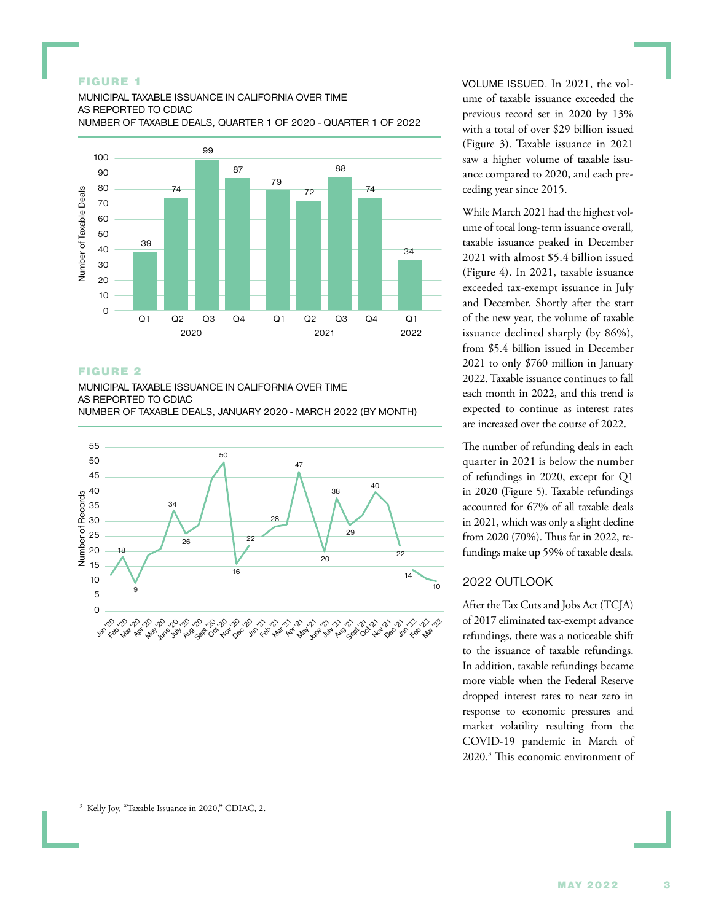#### FIGURE 1

MUNICIPAL TAXABLE ISSUANCE IN CALIFORNIA OVER TIME AS REPORTED TO CDIAC NUMBER OF TAXABLE DEALS, QUARTER 1 OF 2020 - QUARTER 1 OF 2022



#### FIGURE 2

MUNICIPAL TAXABLE ISSUANCE IN CALIFORNIA OVER TIME AS REPORTED TO CDIAC NUMBER OF TAXABLE DEALS, JANUARY 2020 - MARCH 2022 (BY MONTH)



VOLUME ISSUED. In 2021, the volume of taxable issuance exceeded the previous record set in 2020 by 13% with a total of over \$29 billion issued (Figure 3). Taxable issuance in 2021 saw a higher volume of taxable issuance compared to 2020, and each preceding year since 2015.

While March 2021 had the highest volume of total long-term issuance overall, taxable issuance peaked in December 2021 with almost \$5.4 billion issued (Figure 4). In 2021, taxable issuance exceeded tax-exempt issuance in July and December. Shortly after the start of the new year, the volume of taxable issuance declined sharply (by 86%), from \$5.4 billion issued in December 2021 to only \$760 million in January 2022. Taxable issuance continues to fall each month in 2022, and this trend is expected to continue as interest rates are increased over the course of 2022.

The number of refunding deals in each quarter in 2021 is below the number of refundings in 2020, except for Q1 in 2020 (Figure 5). Taxable refundings accounted for 67% of all taxable deals in 2021, which was only a slight decline from 2020 (70%). Thus far in 2022, refundings make up 59% of taxable deals.

## 2022 OUTLOOK

After the Tax Cuts and Jobs Act (TCJA) of 2017 eliminated tax-exempt advance refundings, there was a noticeable shift to the issuance of taxable refundings. In addition, taxable refundings became more viable when the Federal Reserve dropped interest rates to near zero in response to economic pressures and market volatility resulting from the COVID-19 pandemic in March of 2020.3 This economic environment of

```
<sup>3</sup> Kelly Joy, "Taxable Issuance in 2020," CDIAC, 2.
```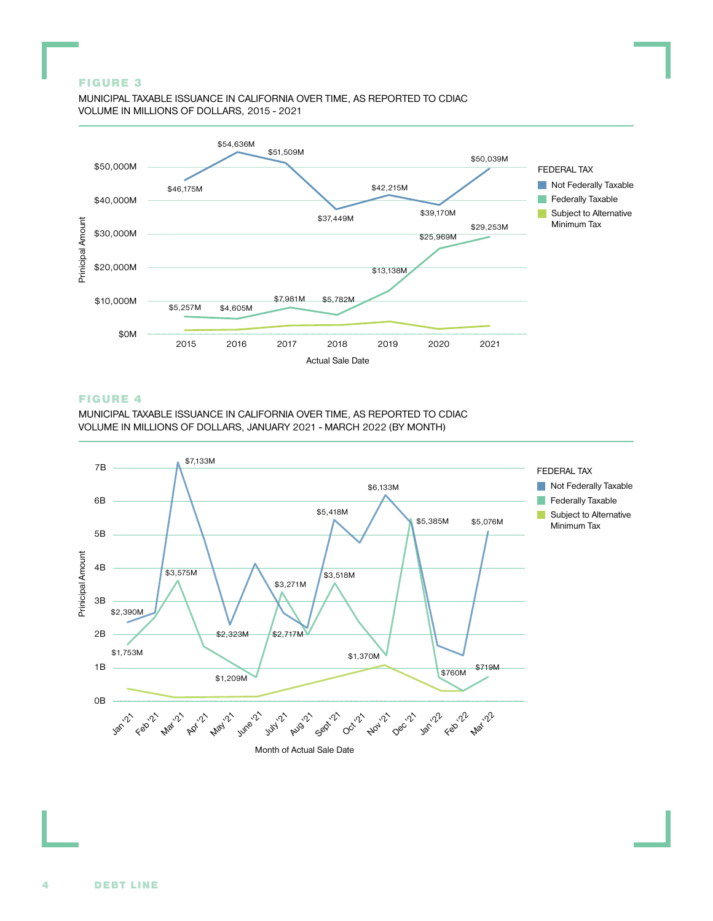#### FIGURE 3

MUNICIPAL TAXABLE ISSUANCE IN CALIFORNIA OVER TIME, AS REPORTED TO CDIAC VOLUME IN MILLIONS OF DOLLARS, 2015 - 2021



#### FIGURE 4

MUNICIPAL TAXABLE ISSUANCE IN CALIFORNIA OVER TIME, AS REPORTED TO CDIAC VOLUME IN MILLIONS OF DOLLARS, JANUARY 2021 - MARCH 2022 (BY MONTH)

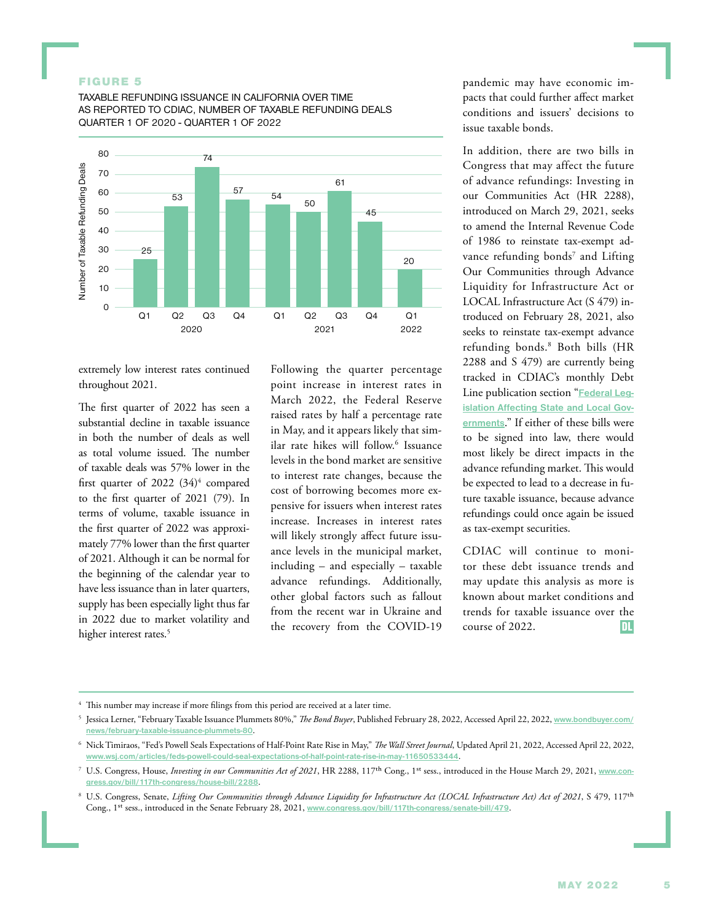#### FIGURE 5

TAXABLE REFUNDING ISSUANCE IN CALIFORNIA OVER TIME AS REPORTED TO CDIAC, NUMBER OF TAXABLE REFUNDING DEALS QUARTER 1 OF 2020 - QUARTER 1 OF 2022



extremely low interest rates continued throughout 2021.

The first quarter of 2022 has seen a substantial decline in taxable issuance in both the number of deals as well as total volume issued. The number of taxable deals was 57% lower in the first quarter of 2022 (34)<sup>4</sup> compared to the first quarter of 2021 (79). In terms of volume, taxable issuance in the first quarter of 2022 was approximately 77% lower than the first quarter of 2021. Although it can be normal for the beginning of the calendar year to have less issuance than in later quarters, supply has been especially light thus far in 2022 due to market volatility and higher interest rates.<sup>5</sup>

Following the quarter percentage point increase in interest rates in March 2022, the Federal Reserve raised rates by half a percentage rate in May, and it appears likely that similar rate hikes will follow.6 Issuance levels in the bond market are sensitive to interest rate changes, because the cost of borrowing becomes more expensive for issuers when interest rates increase. Increases in interest rates will likely strongly affect future issuance levels in the municipal market, including – and especially – taxable advance refundings. Additionally, other global factors such as fallout from the recent war in Ukraine and the recovery from the COVID-19

pandemic may have economic impacts that could further affect market conditions and issuers' decisions to issue taxable bonds.

In addition, there are two bills in Congress that may affect the future of advance refundings: Investing in our Communities Act (HR 2288), introduced on March 29, 2021, seeks to amend the Internal Revenue Code of 1986 to reinstate tax-exempt advance refunding bonds<sup>7</sup> and Lifting Our Communities through Advance Liquidity for Infrastructure Act or LOCAL Infrastructure Act (S 479) introduced on February 28, 2021, also seeks to reinstate tax-exempt advance refunding bonds.8 Both bills (HR 2288 and S 479) are currently being tracked in CDIAC's monthly Debt Line publication section "**[Federal Leg](https://www.treasurer.ca.gov/cdiac/mmra/update.pdf)[islation Affecting State and Local Gov](https://www.treasurer.ca.gov/cdiac/mmra/update.pdf)[ernments](https://www.treasurer.ca.gov/cdiac/mmra/update.pdf)**." If either of these bills were to be signed into law, there would most likely be direct impacts in the advance refunding market. This would be expected to lead to a decrease in future taxable issuance, because advance refundings could once again be issued as tax-exempt securities.

CDIAC will continue to monitor these debt issuance trends and may update this analysis as more is known about market conditions and trends for taxable issuance over the course of 2022.

<sup>&</sup>lt;sup>4</sup> This number may increase if more filings from this period are received at a later time.

<sup>5</sup> Jessica Lerner, "February Taxable Issuance Plummets 80%," *The Bond Buyer*, Published February 28, 2022, Accessed April 22, 2022, **[www.bondbuyer.com/](http://www.bondbuyer.com/news/february-taxable-issuance-plummets-80) [news/february-taxable-issuance-plummets-80](http://www.bondbuyer.com/news/february-taxable-issuance-plummets-80)**.

<sup>6</sup> Nick Timiraos, "Fed's Powell Seals Expectations of Half-Point Rate Rise in May," *The Wall Street Journal*, Updated April 21, 2022, Accessed April 22, 2022, **[www.wsj.com/articles/feds-powell-could-seal-expectations-of-half-point-rate-rise-in-may-11650533444](http://www.wsj.com/articles/feds-powell-could-seal-expectations-of-half-point-rate-rise-in-may-11650533444)**.

<sup>7</sup> U.S. Congress, House, *Investing in our Communities Act of 2021*, HR 2288, 117th Cong., 1st sess., introduced in the House March 29, 2021, **[www.con](http://www.congress.gov/bill/117th-congress/house-bill/2288)[gress.gov/bill/117th-congress/house-bill/2288](http://www.congress.gov/bill/117th-congress/house-bill/2288)**.

<sup>8</sup> U.S. Congress, Senate, *Lifting Our Communities through Advance Liquidity for Infrastructure Act (LOCAL Infrastructure Act) Act of 2021*, S 479, 117th Cong., 1st sess., introduced in the Senate February 28, 2021, **[www.congress.gov/bill/117th-congress/senate-bill/479](http://www.congress.gov/bill/117th-congress/senate-bill/479)**.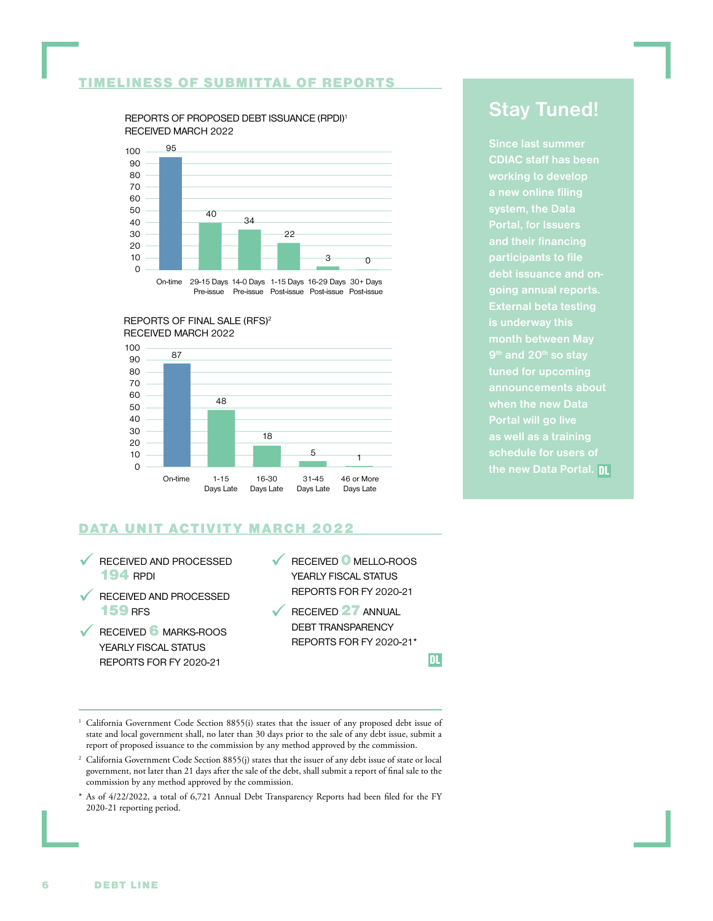## <span id="page-5-0"></span>TIMELINESS OF SUBMITTAL OF REPORTS

REPORTS OF PROPOSED DEBT ISSUANCE (RPDI)1 RECEIVED MARCH 2022



On-time 29-15 Days 14-0 Days 1-15 Days 16-29 Days 30+ Days Pre-issue Pre-issue Post-issue Post-issue Post-issue

#### REPORTS OF FINAL SALE (RFS)2 RECEIVED MARCH 2022



## DATA UNIT ACTIVITY MARCH 2022

- RECEIVED AND PROCESSED 194 RPDI
- RECEIVED AND PROCESSED 159 RFS
- RECEIVED 6 MARKS-ROOS YEARLY FISCAL STATUS REPORTS FOR FY 2020-21
- RECEIVED 0 MELLO-ROOS YEARLY FISCAL STATUS REPORTS FOR FY 2020-21
- RECEIVED 27 ANNUAL DEBT TRANSPARENCY REPORTS FOR FY 2020-21\*

DL

- <sup>1</sup> California Government Code Section 8855(i) states that the issuer of any proposed debt issue of state and local government shall, no later than 30 days prior to the sale of any debt issue, submit a report of proposed issuance to the commission by any method approved by the commission.
- <sup>2</sup> California Government Code Section 8855(j) states that the issuer of any debt issue of state or local government, not later than 21 days after the sale of the debt, shall submit a report of final sale to the commission by any method approved by the commission.
- \* As of 4/22/2022, a total of 6,721 Annual Debt Transparency Reports had been filed for the FY 2020-21 reporting period.

## **Stay Tuned!**

**CDIAC staff has been working to develop Portal, for Issuers participants to file debt issuance and ongoing annual reports. External beta testing is underway this 9th and 20th so stay tuned for upcoming when the new Data Portal will go live schedule for users of the new Data Portal.** DL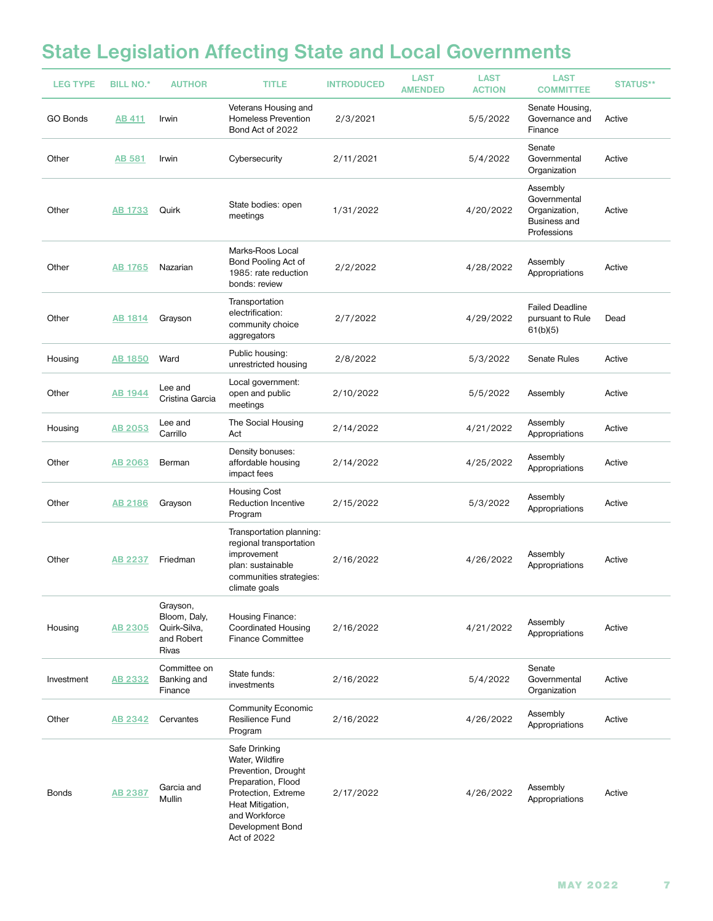## <span id="page-6-0"></span>**State Legislation Affecting State and Local Governments**

| <b>LEG TYPE</b> | <b>BILL NO.*</b> | <b>AUTHOR</b>                                                   | <b>TITLE</b>                                                                                                                                                                 | <b>INTRODUCED</b> | <b>LAST</b><br><b>AMENDED</b> | <b>LAST</b><br><b>ACTION</b> | <b>LAST</b><br><b>COMMITTEE</b>                                                 | <b>STATUS**</b> |
|-----------------|------------------|-----------------------------------------------------------------|------------------------------------------------------------------------------------------------------------------------------------------------------------------------------|-------------------|-------------------------------|------------------------------|---------------------------------------------------------------------------------|-----------------|
| GO Bonds        | <b>AB 411</b>    | Irwin                                                           | Veterans Housing and<br><b>Homeless Prevention</b><br>Bond Act of 2022                                                                                                       | 2/3/2021          |                               | 5/5/2022                     | Senate Housing,<br>Governance and<br>Finance                                    | Active          |
| Other           | <b>AB 581</b>    | Irwin                                                           | Cybersecurity                                                                                                                                                                | 2/11/2021         |                               | 5/4/2022                     | Senate<br>Governmental<br>Organization                                          | Active          |
| Other           | AB 1733          | Quirk                                                           | State bodies: open<br>meetings                                                                                                                                               | 1/31/2022         |                               | 4/20/2022                    | Assembly<br>Governmental<br>Organization,<br><b>Business and</b><br>Professions | Active          |
| Other           | AB 1765          | Nazarian                                                        | Marks-Roos Local<br>Bond Pooling Act of<br>1985: rate reduction<br>bonds: review                                                                                             | 2/2/2022          |                               | 4/28/2022                    | Assembly<br>Appropriations                                                      | Active          |
| Other           | <b>AB 1814</b>   | Grayson                                                         | Transportation<br>electrification:<br>community choice<br>aggregators                                                                                                        | 2/7/2022          |                               | 4/29/2022                    | <b>Failed Deadline</b><br>pursuant to Rule<br>61(b)(5)                          | Dead            |
| Housing         | <u>AB 1850</u>   | Ward                                                            | Public housing:<br>unrestricted housing                                                                                                                                      | 2/8/2022          |                               | 5/3/2022                     | Senate Rules                                                                    | Active          |
| Other           | <b>AB 1944</b>   | Lee and<br>Cristina Garcia                                      | Local government:<br>open and public<br>meetings                                                                                                                             | 2/10/2022         |                               | 5/5/2022                     | Assembly                                                                        | Active          |
| Housing         | <u>AB 2053</u>   | Lee and<br>Carrillo                                             | The Social Housing<br>Act                                                                                                                                                    | 2/14/2022         |                               | 4/21/2022                    | Assembly<br>Appropriations                                                      | Active          |
| Other           | AB 2063          | Berman                                                          | Density bonuses:<br>affordable housing<br>impact fees                                                                                                                        | 2/14/2022         |                               | 4/25/2022                    | Assembly<br>Appropriations                                                      | Active          |
| Other           | AB 2186          | Grayson                                                         | <b>Housing Cost</b><br><b>Reduction Incentive</b><br>Program                                                                                                                 | 2/15/2022         |                               | 5/3/2022                     | Assembly<br>Appropriations                                                      | Active          |
| Other           | AB 2237          | Friedman                                                        | Transportation planning:<br>regional transportation<br>improvement<br>plan: sustainable<br>communities strategies:<br>climate goals                                          | 2/16/2022         |                               | 4/26/2022                    | Assembly<br>Appropriations                                                      | Active          |
| Housing         | <u>AB 2305</u>   | Grayson,<br>Bloom, Daly,<br>Quirk-Silva,<br>and Robert<br>Rivas | Housing Finance:<br><b>Coordinated Housing</b><br><b>Finance Committee</b>                                                                                                   | 2/16/2022         |                               | 4/21/2022                    | Assembly<br>Appropriations                                                      | Active          |
| Investment      | <b>AB 2332</b>   | Committee on<br>Banking and<br>Finance                          | State funds:<br>investments                                                                                                                                                  | 2/16/2022         |                               | 5/4/2022                     | Senate<br>Governmental<br>Organization                                          | Active          |
| Other           | AB 2342          | Cervantes                                                       | <b>Community Economic</b><br>Resilience Fund<br>Program                                                                                                                      | 2/16/2022         |                               | 4/26/2022                    | Assembly<br>Appropriations                                                      | Active          |
| <b>Bonds</b>    | <b>AB 2387</b>   | Garcia and<br>Mullin                                            | Safe Drinking<br>Water, Wildfire<br>Prevention, Drought<br>Preparation, Flood<br>Protection, Extreme<br>Heat Mitigation,<br>and Workforce<br>Development Bond<br>Act of 2022 | 2/17/2022         |                               | 4/26/2022                    | Assembly<br>Appropriations                                                      | Active          |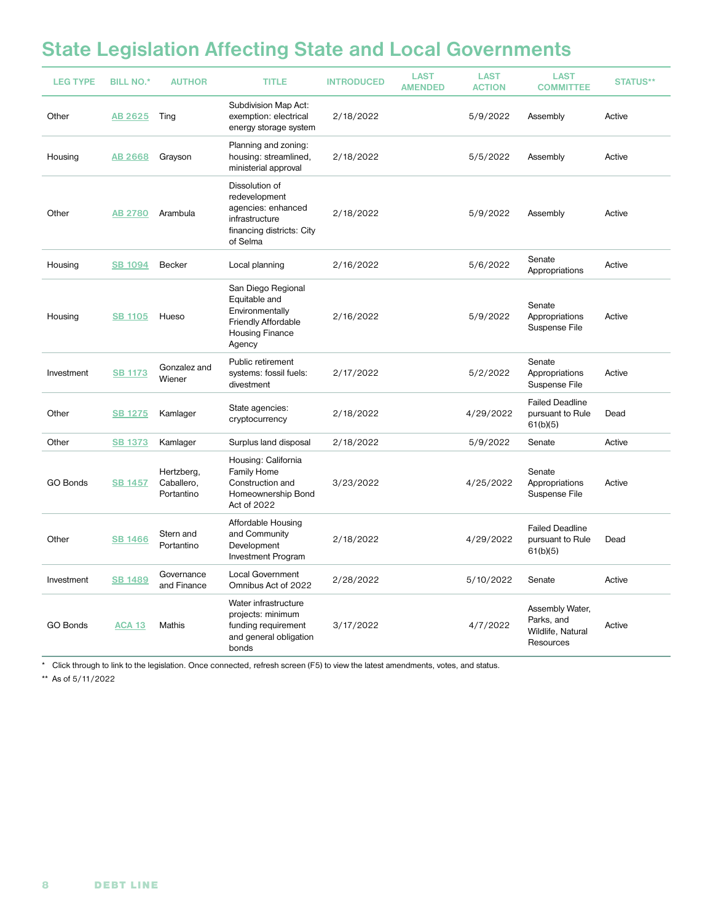## **State Legislation Affecting State and Local Governments**

| <b>LEG TYPE</b> | <b>BILL NO.*</b> | <b>AUTHOR</b>                          | <b>TITLE</b>                                                                                                      | <b>INTRODUCED</b> | <b>LAST</b><br><b>AMENDED</b> | <b>LAST</b><br><b>ACTION</b> | <b>LAST</b><br><b>COMMITTEE</b>                                 | <b>STATUS**</b> |
|-----------------|------------------|----------------------------------------|-------------------------------------------------------------------------------------------------------------------|-------------------|-------------------------------|------------------------------|-----------------------------------------------------------------|-----------------|
| Other           | AB 2625          | Ting                                   | Subdivision Map Act:<br>exemption: electrical<br>energy storage system                                            | 2/18/2022         |                               | 5/9/2022                     | Assembly                                                        | Active          |
| Housing         | <b>AB 2668</b>   | Grayson                                | Planning and zoning:<br>housing: streamlined,<br>ministerial approval                                             | 2/18/2022         |                               | 5/5/2022                     | Assembly                                                        | Active          |
| Other           | <b>AB 2780</b>   | Arambula                               | Dissolution of<br>redevelopment<br>agencies: enhanced<br>infrastructure<br>financing districts: City<br>of Selma  | 2/18/2022         |                               | 5/9/2022                     | Assembly                                                        | Active          |
| Housing         | <b>SB 1094</b>   | Becker                                 | Local planning                                                                                                    | 2/16/2022         |                               | 5/6/2022                     | Senate<br>Appropriations                                        | Active          |
| Housing         | <b>SB 1105</b>   | Hueso                                  | San Diego Regional<br>Equitable and<br>Environmentally<br>Friendly Affordable<br><b>Housing Finance</b><br>Agency | 2/16/2022         |                               | 5/9/2022                     | Senate<br>Appropriations<br>Suspense File                       | Active          |
| Investment      | <b>SB 1173</b>   | Gonzalez and<br>Wiener                 | Public retirement<br>systems: fossil fuels:<br>divestment                                                         | 2/17/2022         |                               | 5/2/2022                     | Senate<br>Appropriations<br>Suspense File                       | Active          |
| Other           | <b>SB 1275</b>   | Kamlager                               | State agencies:<br>cryptocurrency                                                                                 | 2/18/2022         |                               | 4/29/2022                    | <b>Failed Deadline</b><br>pursuant to Rule<br>61(b)(5)          | Dead            |
| Other           | <b>SB 1373</b>   | Kamlager                               | Surplus land disposal                                                                                             | 2/18/2022         |                               | 5/9/2022                     | Senate                                                          | Active          |
| GO Bonds        | <b>SB 1457</b>   | Hertzberg,<br>Caballero,<br>Portantino | Housing: California<br><b>Family Home</b><br>Construction and<br>Homeownership Bond<br>Act of 2022                | 3/23/2022         |                               | 4/25/2022                    | Senate<br>Appropriations<br>Suspense File                       | Active          |
| Other           | <b>SB 1466</b>   | Stern and<br>Portantino                | Affordable Housing<br>and Community<br>Development<br><b>Investment Program</b>                                   | 2/18/2022         |                               | 4/29/2022                    | <b>Failed Deadline</b><br>pursuant to Rule<br>61(b)(5)          | Dead            |
| Investment      | <b>SB 1489</b>   | Governance<br>and Finance              | Local Government<br>Omnibus Act of 2022                                                                           | 2/28/2022         |                               | 5/10/2022                    | Senate                                                          | Active          |
| GO Bonds        | <b>ACA 13</b>    | Mathis                                 | Water infrastructure<br>projects: minimum<br>funding requirement<br>and general obligation<br>bonds               | 3/17/2022         |                               | 4/7/2022                     | Assembly Water,<br>Parks, and<br>Wildlife, Natural<br>Resources | Active          |

\* Click through to link to the legislation. Once connected, refresh screen (F5) to view the latest amendments, votes, and status.

\*\* As of 5/11/2022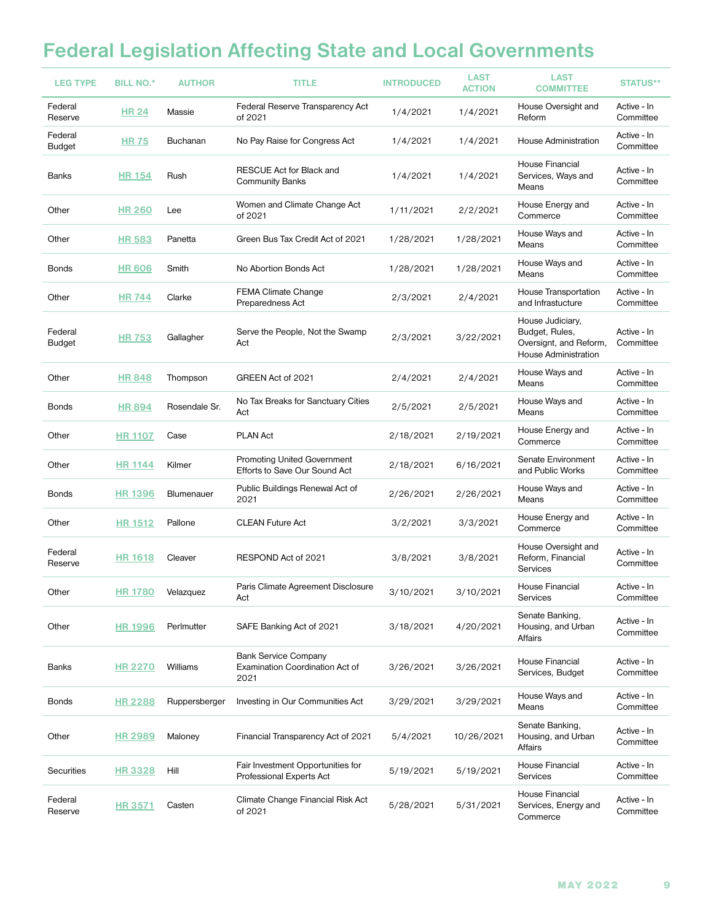## **Federal Legislation Affecting State and Local Governments**

| <b>LEG TYPE</b>    | <b>BILL NO.*</b> | <b>AUTHOR</b>     | <b>TITLE</b>                                                                  | <b>INTRODUCED</b> | <b>LAST</b><br><b>ACTION</b> | <b>LAST</b><br><b>COMMITTEE</b>                                                      | <b>STATUS**</b>          |
|--------------------|------------------|-------------------|-------------------------------------------------------------------------------|-------------------|------------------------------|--------------------------------------------------------------------------------------|--------------------------|
| Federal<br>Reserve | <b>HR 24</b>     | Massie            | Federal Reserve Transparency Act<br>of 2021                                   | 1/4/2021          | 1/4/2021                     | House Oversight and<br>Reform                                                        | Active - In<br>Committee |
| Federal<br>Budget  | <b>HR 75</b>     | <b>Buchanan</b>   | No Pay Raise for Congress Act                                                 | 1/4/2021          | 1/4/2021                     | House Administration                                                                 | Active - In<br>Committee |
| Banks              | <b>HR 154</b>    | Rush              | RESCUE Act for Black and<br><b>Community Banks</b>                            | 1/4/2021          | 1/4/2021                     | House Financial<br>Services, Ways and<br>Means                                       | Active - In<br>Committee |
| Other              | <b>HR 260</b>    | Lee               | Women and Climate Change Act<br>of 2021                                       | 1/11/2021         | 2/2/2021                     | House Energy and<br>Commerce                                                         | Active - In<br>Committee |
| Other              | <b>HR 583</b>    | Panetta           | Green Bus Tax Credit Act of 2021                                              | 1/28/2021         | 1/28/2021                    | House Ways and<br>Means                                                              | Active - In<br>Committee |
| Bonds              | <b>HR 606</b>    | Smith             | No Abortion Bonds Act                                                         | 1/28/2021         | 1/28/2021                    | House Ways and<br>Means                                                              | Active - In<br>Committee |
| Other              | <b>HR 744</b>    | Clarke            | <b>FEMA Climate Change</b><br>Preparedness Act                                | 2/3/2021          | 2/4/2021                     | House Transportation<br>and Infrastucture                                            | Active - In<br>Committee |
| Federal<br>Budget  | <b>HR 753</b>    | Gallagher         | Serve the People, Not the Swamp<br>Act                                        | 2/3/2021          | 3/22/2021                    | House Judiciary,<br>Budget, Rules,<br>Oversignt, and Reform,<br>House Administration | Active - In<br>Committee |
| Other              | <b>HR 848</b>    | Thompson          | GREEN Act of 2021                                                             | 2/4/2021          | 2/4/2021                     | House Ways and<br>Means                                                              | Active - In<br>Committee |
| Bonds              | <b>HR 894</b>    | Rosendale Sr.     | No Tax Breaks for Sanctuary Cities<br>Act                                     | 2/5/2021          | 2/5/2021                     | House Ways and<br>Means                                                              | Active - In<br>Committee |
| Other              | <b>HR 1107</b>   | Case              | <b>PLAN Act</b>                                                               | 2/18/2021         | 2/19/2021                    | House Energy and<br>Commerce                                                         | Active - In<br>Committee |
| Other              | <u>HR 1144</u>   | Kilmer            | <b>Promoting United Government</b><br>Efforts to Save Our Sound Act           | 2/18/2021         | 6/16/2021                    | Senate Environment<br>and Public Works                                               | Active - In<br>Committee |
| Bonds              | <b>HR 1396</b>   | Blumenauer        | Public Buildings Renewal Act of<br>2021                                       | 2/26/2021         | 2/26/2021                    | House Ways and<br>Means                                                              | Active - In<br>Committee |
| Other              | <u>HR 1512</u>   | Pallone           | <b>CLEAN Future Act</b>                                                       | 3/2/2021          | 3/3/2021                     | House Energy and<br>Commerce                                                         | Active - In<br>Committee |
| Federal<br>Reserve | <b>HR 1618</b>   | Cleaver           | RESPOND Act of 2021                                                           | 3/8/2021          | 3/8/2021                     | House Oversight and<br>Reform, Financial<br><b>Services</b>                          | Active - In<br>Committee |
| Other              |                  | HR 1780 Velazquez | Paris Climate Agreement Disclosure<br>Act                                     | 3/10/2021         | 3/10/2021                    | House Financial<br>Services                                                          | Active - In<br>Committee |
| Other              | <b>HR 1996</b>   | Perlmutter        | SAFE Banking Act of 2021                                                      | 3/18/2021         | 4/20/2021                    | Senate Banking.<br>Housing, and Urban<br>Affairs                                     | Active - In<br>Committee |
| <b>Banks</b>       | <b>HR 2270</b>   | <b>Williams</b>   | <b>Bank Service Company</b><br><b>Examination Coordination Act of</b><br>2021 | 3/26/2021         | 3/26/2021                    | House Financial<br>Services, Budget                                                  | Active - In<br>Committee |
| <b>Bonds</b>       | <b>HR 2288</b>   | Ruppersberger     | Investing in Our Communities Act                                              | 3/29/2021         | 3/29/2021                    | House Ways and<br>Means                                                              | Active - In<br>Committee |
| Other              | <b>HR 2989</b>   | Maloney           | Financial Transparency Act of 2021                                            | 5/4/2021          | 10/26/2021                   | Senate Banking,<br>Housing, and Urban<br>Affairs                                     | Active - In<br>Committee |
| Securities         | <b>HR 3328</b>   | Hill              | Fair Investment Opportunities for<br>Professional Experts Act                 | 5/19/2021         | 5/19/2021                    | House Financial<br><b>Services</b>                                                   | Active - In<br>Committee |
| Federal<br>Reserve | <b>HR 3571</b>   | Casten            | Climate Change Financial Risk Act<br>of 2021                                  | 5/28/2021         | 5/31/2021                    | House Financial<br>Services, Energy and<br>Commerce                                  | Active - In<br>Committee |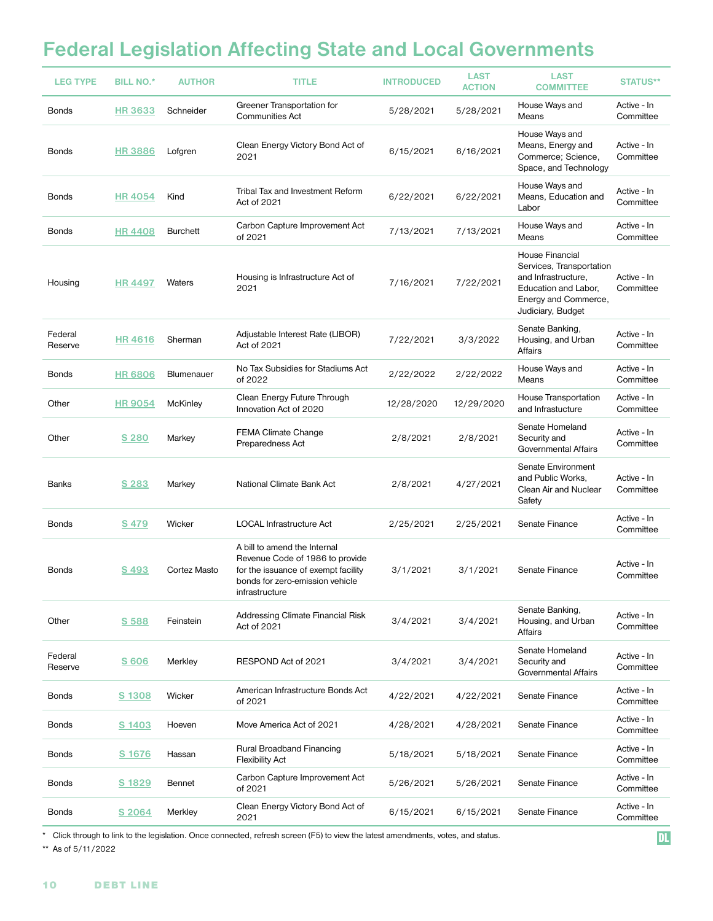## **Federal Legislation Affecting State and Local Governments**

| <b>LEG TYPE</b>    | <b>BILL NO.*</b> | <b>AUTHOR</b> | <b>TITLE</b>                                                                                                                                                       | <b>INTRODUCED</b> | <b>LAST</b><br><b>ACTION</b> | <b>LAST</b><br><b>COMMITTEE</b>                                                                                                         | <b>STATUS**</b>          |
|--------------------|------------------|---------------|--------------------------------------------------------------------------------------------------------------------------------------------------------------------|-------------------|------------------------------|-----------------------------------------------------------------------------------------------------------------------------------------|--------------------------|
| <b>Bonds</b>       | <b>HR 3633</b>   | Schneider     | Greener Transportation for<br><b>Communities Act</b>                                                                                                               | 5/28/2021         | 5/28/2021                    | House Ways and<br>Means                                                                                                                 | Active - In<br>Committee |
| <b>Bonds</b>       | <b>HR3886</b>    | Lofgren       | Clean Energy Victory Bond Act of<br>2021                                                                                                                           | 6/15/2021         | 6/16/2021                    | House Ways and<br>Means, Energy and<br>Commerce; Science,<br>Space, and Technology                                                      | Active - In<br>Committee |
| Bonds              | <b>HR4054</b>    | Kind          | Tribal Tax and Investment Reform<br>Act of 2021                                                                                                                    | 6/22/2021         | 6/22/2021                    | House Ways and<br>Means, Education and<br>Labor                                                                                         | Active - In<br>Committee |
| Bonds              | <b>HR4408</b>    | Burchett      | Carbon Capture Improvement Act<br>of 2021                                                                                                                          | 7/13/2021         | 7/13/2021                    | House Ways and<br>Means                                                                                                                 | Active - In<br>Committee |
| Housing            | <b>HR4497</b>    | Waters        | Housing is Infrastructure Act of<br>2021                                                                                                                           | 7/16/2021         | 7/22/2021                    | House Financial<br>Services, Transportation<br>and Infrastructure,<br>Education and Labor,<br>Energy and Commerce,<br>Judiciary, Budget | Active - In<br>Committee |
| Federal<br>Reserve | <b>HR 4616</b>   | Sherman       | Adjustable Interest Rate (LIBOR)<br>Act of 2021                                                                                                                    | 7/22/2021         | 3/3/2022                     | Senate Banking.<br>Housing, and Urban<br>Affairs                                                                                        | Active - In<br>Committee |
| <b>Bonds</b>       | <b>HR 6806</b>   | Blumenauer    | No Tax Subsidies for Stadiums Act<br>of 2022                                                                                                                       | 2/22/2022         | 2/22/2022                    | House Ways and<br>Means                                                                                                                 | Active - In<br>Committee |
| Other              | <b>HR 9054</b>   | McKinley      | Clean Energy Future Through<br>Innovation Act of 2020                                                                                                              | 12/28/2020        | 12/29/2020                   | House Transportation<br>and Infrastucture                                                                                               | Active - In<br>Committee |
| Other              | <u>S 280</u>     | Markey        | <b>FEMA Climate Change</b><br>Preparedness Act                                                                                                                     | 2/8/2021          | 2/8/2021                     | Senate Homeland<br>Security and<br>Governmental Affairs                                                                                 | Active - In<br>Committee |
| Banks              | <u>S 283</u>     | Markey        | National Climate Bank Act                                                                                                                                          | 2/8/2021          | 4/27/2021                    | Senate Environment<br>and Public Works,<br>Clean Air and Nuclear<br>Safety                                                              | Active - In<br>Committee |
| <b>Bonds</b>       | <u>S 479</u>     | Wicker        | LOCAL Infrastructure Act                                                                                                                                           | 2/25/2021         | 2/25/2021                    | Senate Finance                                                                                                                          | Active - In<br>Committee |
| Bonds              | S 493            | Cortez Masto  | A bill to amend the Internal<br>Revenue Code of 1986 to provide<br>for the issuance of exempt facility<br>bonds for zero-emission vehicle<br><b>intrastructure</b> | 3/1/2021          | 3/1/2021                     | Senate Finance                                                                                                                          | Active - In<br>Committee |
| Other              | S 588            | Feinstein     | Addressing Climate Financial Risk<br>Act of 2021                                                                                                                   | 3/4/2021          | 3/4/2021                     | Senate Banking,<br>Housing, and Urban<br>Affairs                                                                                        | Active - In<br>Committee |
| Federal<br>Reserve | <u>S 606</u>     | Merkley       | RESPOND Act of 2021                                                                                                                                                | 3/4/2021          | 3/4/2021                     | Senate Homeland<br>Security and<br>Governmental Affairs                                                                                 | Active - In<br>Committee |
| <b>Bonds</b>       | S 1308           | Wicker        | American Infrastructure Bonds Act<br>of 2021                                                                                                                       | 4/22/2021         | 4/22/2021                    | Senate Finance                                                                                                                          | Active - In<br>Committee |
| <b>Bonds</b>       | S 1403           | Hoeven        | Move America Act of 2021                                                                                                                                           | 4/28/2021         | 4/28/2021                    | Senate Finance                                                                                                                          | Active - In<br>Committee |
| <b>Bonds</b>       | <u>S 1676</u>    | Hassan        | Rural Broadband Financing<br><b>Flexibility Act</b>                                                                                                                | 5/18/2021         | 5/18/2021                    | Senate Finance                                                                                                                          | Active - In<br>Committee |
| Bonds              | S 1829           | <b>Bennet</b> | Carbon Capture Improvement Act<br>of 2021                                                                                                                          | 5/26/2021         | 5/26/2021                    | Senate Finance                                                                                                                          | Active - In<br>Committee |
| <b>Bonds</b>       | S 2064           | Merkley       | Clean Energy Victory Bond Act of<br>2021                                                                                                                           | 6/15/2021         | 6/15/2021                    | Senate Finance                                                                                                                          | Active - In<br>Committee |
|                    |                  |               |                                                                                                                                                                    |                   |                              |                                                                                                                                         |                          |

\* Click through to link to the legislation. Once connected, refresh screen (F5) to view the latest amendments, votes, and status.

\*\* As of 5/11/2022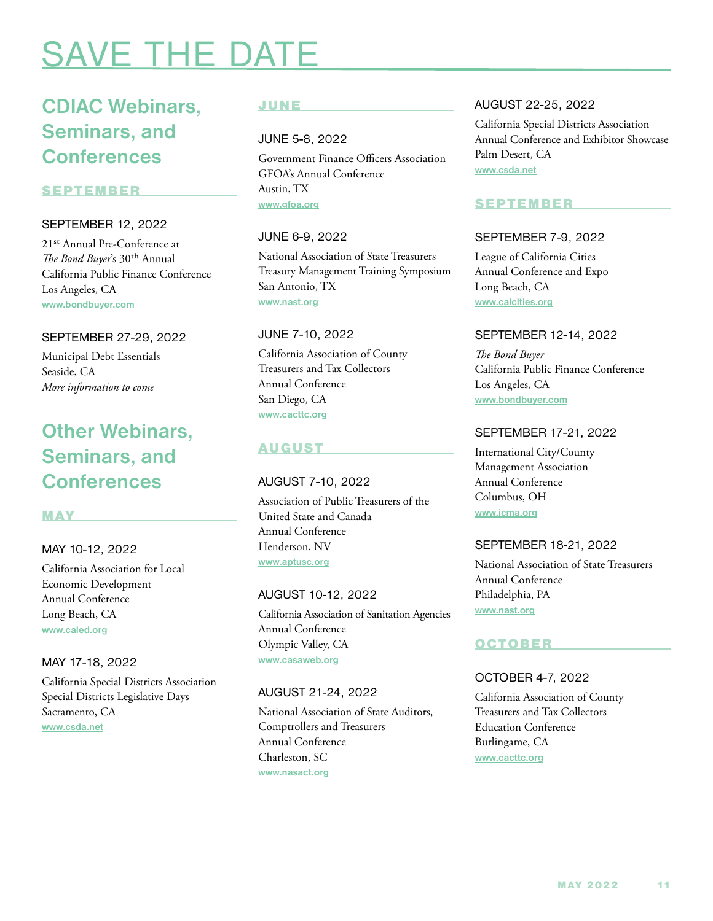# <span id="page-10-0"></span>**SAVE THE D**

## **CDIAC Webinars, Seminars, and Conferences**

## SEPTEMBER

## SEPTEMBER 12, 2022

21st Annual Pre-Conference at *The Bond Buyer*'s 30th Annual California Public Finance Conference Los Angeles, CA **[www.bondbuyer.com](http://www.bondbuyer.com)**

## SEPTEMBER 27-29, 2022

Municipal Debt Essentials Seaside, CA *More information to come*

## **Other Webinars, Seminars, and Conferences**

## MAY

## MAY 10-12, 2022

California Association for Local Economic Development Annual Conference Long Beach, CA **[www.caled.org](http://www.caled.org)**

## MAY 17-18, 2022

California Special Districts Association Special Districts Legislative Days Sacramento, CA **[www.csda.net](http://www.csda.net)**

## JUNE

JUNE 5-8, 2022

Government Finance Officers Association GFOA's Annual Conference Austin, TX **[www.gfoa.org](http://www.gfoa.org)**

## JUNE 6-9, 2022

National Association of State Treasurers Treasury Management Training Symposium San Antonio, TX **[www.nast.org](http://www.nast.org)**

#### JUNE 7-10, 2022

California Association of County Treasurers and Tax Collectors Annual Conference San Diego, CA **[www.cacttc.org](http://www.cacttc.org)**

## AUGUST

## AUGUST 7-10, 2022

Association of Public Treasurers of the United State and Canada Annual Conference Henderson, NV **[www.aptusc.org](http://www.aptusc.org)**

## AUGUST 10-12, 2022

California Association of Sanitation Agencies Annual Conference Olympic Valley, CA **[www.casaweb.org](http://www.casaweb.org)**

## AUGUST 21-24, 2022

National Association of State Auditors, Comptrollers and Treasurers Annual Conference Charleston, SC **[www.nasact.org](http://www.nasact.org)**

## AUGUST 22-25, 2022

California Special Districts Association Annual Conference and Exhibitor Showcase Palm Desert, CA **[www.csda.net](http://www.csda.net)**

## SEPTEMBER

## SEPTEMBER 7-9, 2022

League of California Cities Annual Conference and Expo Long Beach, CA **[www.calcities.org](http://www.calcities.org)**

## SEPTEMBER 12-14, 2022

*The Bond Buyer* California Public Finance Conference Los Angeles, CA **[www.bondbuyer.com](http://www.bondbuyer.com)**

## SEPTEMBER 17-21, 2022

International City/County Management Association Annual Conference Columbus, OH **[www.icma.org](http://www.icma.org)**

## SEPTEMBER 18-21, 2022

National Association of State Treasurers Annual Conference Philadelphia, PA **[www.nast.org](http://www.nast.org)**

## OCTOBER

## OCTOBER 4-7, 2022

California Association of County Treasurers and Tax Collectors Education Conference Burlingame, CA **[www.cacttc.org](http://www.cacttc.org)**